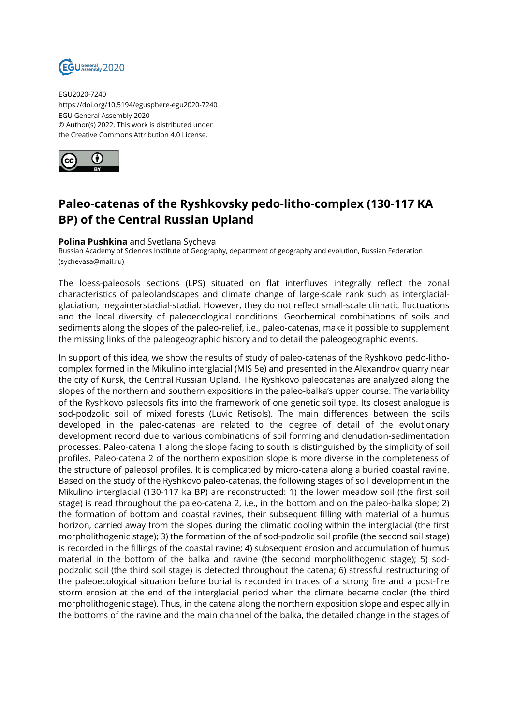

EGU2020-7240 https://doi.org/10.5194/egusphere-egu2020-7240 EGU General Assembly 2020 © Author(s) 2022. This work is distributed under the Creative Commons Attribution 4.0 License.



## **Paleo-catenas of the Ryshkovsky pedo-litho-complex (130-117 KA BP) of the Central Russian Upland**

## **Polina Pushkina** and Svetlana Sycheva

Russian Academy of Sciences Institute of Geography, department of geography and evolution, Russian Federation (sychevasa@mail.ru)

The loess-paleosols sections (LPS) situated on flat interfluves integrally reflect the zonal characteristics of paleolandscapes and climate change of large-scale rank such as interglacialglaciation, megainterstadial-stadial. However, they do not reflect small-scale climatic fluctuations and the local diversity of paleoecological conditions. Geochemical combinations of soils and sediments along the slopes of the paleo-relief, i.e., paleo-catenas, make it possible to supplement the missing links of the paleogeographic history and to detail the paleogeographic events.

In support of this idea, we show the results of study of paleo-catenas of the Ryshkovo pedo-lithocomplex formed in the Mikulino interglacial (MIS 5e) and presented in the Alexandrov quarry near the city of Kursk, the Central Russian Upland. The Ryshkovo paleocatenas are analyzed along the slopes of the northern and southern expositions in the paleo-balka's upper course. The variability of the Ryshkovo paleosols fits into the framework of one genetic soil type. Its closest analogue is sod-podzolic soil of mixed forests (Luvic Retisols). The main differences between the soils developed in the paleo-catenas are related to the degree of detail of the evolutionary development record due to various combinations of soil forming and denudation-sedimentation processes. Paleo-catena 1 along the slope facing to south is distinguished by the simplicity of soil profiles. Paleo-catena 2 of the northern exposition slope is more diverse in the completeness of the structure of paleosol profiles. It is complicated by micro-catena along a buried coastal ravine. Based on the study of the Ryshkovo paleo-catenas, the following stages of soil development in the Mikulino interglacial (130-117 ka BP) are reconstructed: 1) the lower meadow soil (the first soil stage) is read throughout the paleo-catena 2, i.e., in the bottom and on the paleo-balka slope; 2) the formation of bottom and coastal ravines, their subsequent filling with material of a humus horizon, carried away from the slopes during the climatic cooling within the interglacial (the first morpholithogenic stage); 3) the formation of the of sod-podzolic soil profile (the second soil stage) is recorded in the fillings of the coastal ravine; 4) subsequent erosion and accumulation of humus material in the bottom of the balka and ravine (the second morpholithogenic stage); 5) sodpodzolic soil (the third soil stage) is detected throughout the catena; 6) stressful restructuring of the paleoecological situation before burial is recorded in traces of a strong fire and a post-fire storm erosion at the end of the interglacial period when the climate became cooler (the third morpholithogenic stage). Thus, in the catena along the northern exposition slope and especially in the bottoms of the ravine and the main channel of the balka, the detailed change in the stages of